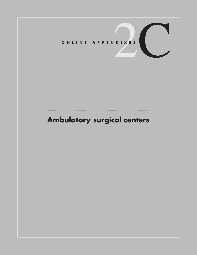# **Ambulatory surgical centers**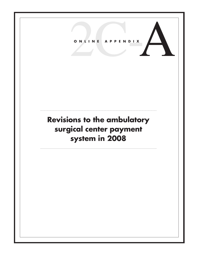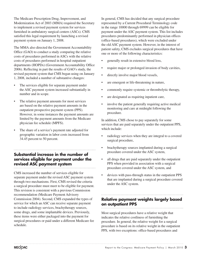The Medicare Prescription Drug, Improvement, and Modernization Act of 2003 (MMA) required the Secretary to implement a revised payment system for services furnished in ambulatory surgical centers (ASCs). CMS satisfied this legal requirement by launching a revised payment system on January 1, 2008.

The MMA also directed the Government Accountability Office (GAO) to conduct a study comparing the relative costs of procedures performed in ASCs with the relative costs of procedures performed in hospital outpatient departments (HOPDs) (Government Accountability Office 2006). Reflecting in part the results of GAO's study, the revised payment system that CMS began using on January 1, 2008, included a number of substantive changes:

- The services eligible for separate payment under the ASC payment system increased substantially in number and in scope.
- The relative payment amounts for most services are based on the relative payment amounts in the outpatient prospective payment system (PPS). However, in some instances the payment amounts are limited by the payment amounts from the Medicare physician fee schedule (MPFS).
- The share of a service's payment rate adjusted for geographic variation in labor costs increased from 34.45 percent to 50 percent.

#### **Substantial increase in the number of services eligible for payment under the revised ASC payment system** . . . . .

CMS increased the number of services eligible for separate payment under the revised ASC payment system through two mechanisms. First, CMS revised the criteria a surgical procedure must meet to be eligible for payment. This revision is consistent with a previous Commission recommendation (Medicare Payment Advisory Commission 2004). Second, CMS expanded the types of service for which an ASC can receive separate payment to include radiology services, brachytherapy sources, some drugs, and some implantable devices. Previously, these items were either packaged into the payment for surgical procedures or paid under a different Medicare fee schedule.

In general, CMS has decided that any surgical procedure represented by a Current Procedural Terminology code in the range 10000 through 69999 can be eligible for payment under the ASC payment system. This list includes procedures predominantly performed in physician offices (office-based procedures), which were excluded under the old ASC payment system. However, in the interest of patient safety, CMS excludes surgical procedures that have one or more of the following characteristics:

- generally result in extensive blood loss,
- require major or prolonged invasion of body cavities,
- directly involve major blood vessels,
- are emergent or life-threatening in nature,
- commonly require systemic or thrombolytic therapy,
- are designated as requiring inpatient care,
- involve the patient generally requiring active medical monitoring and care at midnight following the procedure.

In addition, CMS chose to pay separately for some services that are paid separately under the outpatient PPS, which include:

- radiology services when they are integral to a covered surgical procedure,
- brachytherapy sources implanted during a surgical procedure covered under the ASC system,
- all drugs that are paid separately under the outpatient PPS when provided in association with a surgical procedure covered under the ASC system, and
- devices with pass-through status in the outpatient PPS that are implanted during a surgical procedure covered under the ASC system.

#### **Relative payment weights largely based on outpatient PPS**

Most surgical procedures have a relative weight that indicates the relative costliness of furnishing the procedure. In general, the relative weight for a surgical procedure is based on its relative weight in the outpatient PPS, with two exceptions: office-based procedures and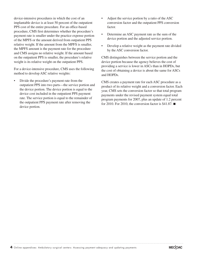device-intensive procedures in which the cost of an implantable device is at least 50 percent of the outpatient PPS cost of the entire procedure. For an office-based procedure, CMS first determines whether the procedure's payment rate is smaller under the practice expense portion of the MPFS or the amount derived from outpatient PPS relative weight. If the amount from the MPFS is smaller, the MPFS amount is the payment rate for the procedure and CMS assigns no relative weight. If the amount based on the outpatient PPS is smaller, the procedure's relative weight is its relative weight on the outpatient PPS.

For a device-intensive procedure, CMS uses the following method to develop ASC relative weights:

• Divide the procedure's payment rate from the outpatient PPS into two parts—the service portion and the device portion. The device portion is equal to the device cost included in the outpatient PPS payment rate. The service portion is equal to the remainder of the outpatient PPS payment rate after removing the device portion.

- Adjust the service portion by a ratio of the ASC conversion factor and the outpatient PPS conversion factor.
- Determine an ASC payment rate as the sum of the device portion and the adjusted service portion.
- Develop a relative weight as the payment rate divided by the ASC conversion factor.

CMS distinguishes between the service portion and the device portion because the agency believes the cost of providing a service is lower in ASCs than in HOPDs, but the cost of obtaining a device is about the same for ASCs and HOPDs.

CMS creates a payment rate for each ASC procedure as a product of its relative weight and a conversion factor. Each year, CMS sets the conversion factor so that total program payments under the revised payment system equal total program payments for 2007, plus an update of 1.2 percent for 2010. For 2010, the conversion factor is  $$41.87$ .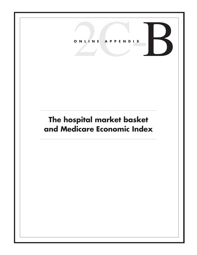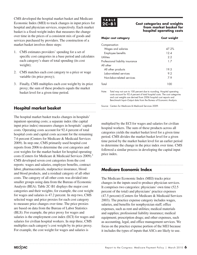CMS developed the hospital market basket and Medicare Economic Index (MEI) to track changes in input prices for hospital and physician services, respectively. Each market basket is a fixed-weight index that measures the change over time in the prices of a consistent mix of goods and services purchased by providers. The construction of a market basket involves three steps:

- 1. CMS estimates providers' spending for a set of specific cost categories in a base period and calculates each category's share of total spending (its cost weight);
- 2. CMS matches each cost category to a price or wage variable (its price proxy);
- 3. Finally, CMS multiplies each cost weight by its price proxy; the sum of these products equals the market basket level for a given time period.

#### **Hospital market basket**

The hospital market basket tracks changes in hospitals' inpatient operating costs; a separate index (the capital input price index) measures changes in hospitals' capital costs. Operating costs account for 92.4 percent of total hospital costs and capital costs account for the remaining 7.6 percent (Centers for Medicare & Medicaid Services 2009). In step one, CMS primarily used hospital cost reports from 2006 to determine the cost categories and cost weights for the market basket for hospital operating costs (Centers for Medicare & Medicaid Services 2009).<sup>1</sup> CMS developed seven cost categories from the cost reports: wages and salaries, employee benefits, contract labor, pharmaceuticals, malpractice insurance, blood and blood products, and a residual category of all other costs. The category of all other costs was divided into smaller groups using data from the Bureau of Economic Analysis (BEA). Table 2C-B1 displays the major cost categories and their weights; for example, the cost weight for wages and salaries is 47.2 percent. In step two, CMS selected wage and price proxies for each cost category to measure price changes over time. The price proxies are based on data from the Bureau of Labor Statistics (BLS). For example, the price proxy for wages and salaries is the employment cost index (ECI) for wages and salaries for civilian hospital workers. In step three, CMS multiplies each category's cost weight by its price proxy. For example, the cost weight for wages and salaries is

## **T A B L E**

#### **2Cost categories and weights from market basket for hospital operating costs**

| Major cost category              | <b>Cost weight</b> |
|----------------------------------|--------------------|
| Compensation                     |                    |
| Wages and salaries               | 47.2%              |
| Employee benefits                | 12 A               |
| Utilities                        | 2.2                |
| Professional liability insurance | 17                 |
| All other                        |                    |
| All other products               | 19.5               |
| <b>Inhor-related services</b>    | 9.2                |
| Non-labor-related services       | 7.9                |
| Total                            | 100                |

Note: Total may not sum to 100 percent due to rounding. Hospital operating costs account for 92.4 percent of total hospital costs. The cost categories and cost weights are derived from 2006 hospital cost reports and Benchmark Input–Output data from the Bureau of Economic Analysis.

Source: Centers for Medicare & Medicaid Services 2009.

multiplied by the ECI for wages and salaries for civilian hospital workers. The sum of these products across all categories yields the market basket level for a given time period. CMS divides the market basket level for a given time period by the market basket level for an earlier period to determine the change in the price index over time. CMS followed a similar process in developing the capital input price index.

#### **Medicare Economic Index**

The Medicare Economic Index (MEI) tracks price changes in the inputs used to produce physician services. It comprises two categories: physicians' own time (52.5 percent of the total) and physicians' practice expenses (47.5 percent) (Centers for Medicare & Medicaid Services 2003). The practice expense category includes wages, salaries, and benefits for nonphysician staff; office expenses, such as rent and utilities; medical materials and supplies; professional liability insurance; medical equipment; prescription drugs; and other expenses, such as accounting, legal, and office management services. We focus on the practice expense portion of the MEI because it includes the types of inputs that ASCs are likely to use.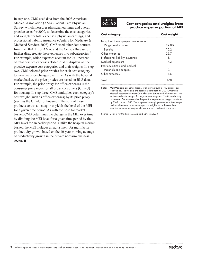In step one, CMS used data from the 2003 American Medical Association (AMA) Patient Care Physician Survey, which measures physician earnings and overall practice costs for 2000, to determine the cost categories and weights for total expenses, physician earnings, and professional liability insurance (Centers for Medicare & Medicaid Services 2003). CMS used other data sources from the BEA, BLS, AMA, and the Census Bureau to further disaggregate these expenses into subcategories.<sup>2</sup> For example, office expenses account for 25.7 percent of total practice expenses. Table 2C-B2 displays all the practice expense cost categories and their weights. In step two, CMS selected price proxies for each cost category to measure price changes over time. As with the hospital market basket, the price proxies are based on BLS data. For example, the price proxy for office expenses is the consumer price index for all urban consumers (CPI–U) for housing. In step three, CMS multiplies each category's cost weight (such as office expenses) by its price proxy (such as the CPI–U for housing). The sum of these products across all categories yields the level of the MEI for a given time period. As with the hospital market basket, CMS determines the change in the MEI over time by dividing the MEI level for a given time period by the MEI level for an earlier period. Unlike the hospital market basket, the MEI includes an adjustment for multifactor productivity growth based on the 10-year moving average of productivity growth in the private nonfarm business sector. ■

### **T A B L E**

#### **2Cost categories and weights from practice expense portion of MEI**

| <b>Cost category</b>                | <b>Cost weight</b> |
|-------------------------------------|--------------------|
| Nonphysician employee compensation: |                    |
| Wages and salaries                  | 29.0%              |
| <b>Benefits</b>                     | 10.2               |
| Office expenses                     | 25.7               |
| Professional liability insurance    | 81                 |
| Medical equipment                   | 4.3                |
| Pharmaceuticals and medical         |                    |
| materials and supplies              | 91                 |
| Other expenses                      | 13.5               |
| Total                               |                    |

Note: MEI (Medicare Economic Index). Total may not sum to 100 percent due to rounding. The weights are based on data from the 2003 American Medical Association Patient Care Physician Survey and other sources. The table excludes the weights for physician earnings and CMS's productivity adjustment. The table rescales the practice expense cost weights published by CMS to sum to 100. The nonphysician employee compensation wages and salaries category includes separate weights for professional and technical workers, managers, clerical workers, and service workers.

Source: Centers for Medicare & Medicaid Services 2003.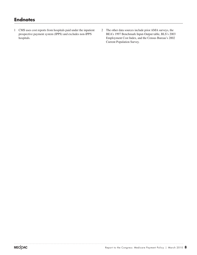### **Endnotes**

- 1 CMS uses cost reports from hospitals paid under the inpatient prospective payment system (IPPS) and excludes non-IPPS hospitals.
- 2 The other data sources include prior AMA surveys, the BEA's 1997 Benchmark Input-Output table, BLS's 2003 Employment Cost Index, and the Census Bureau's 2002 Current Population Survey.